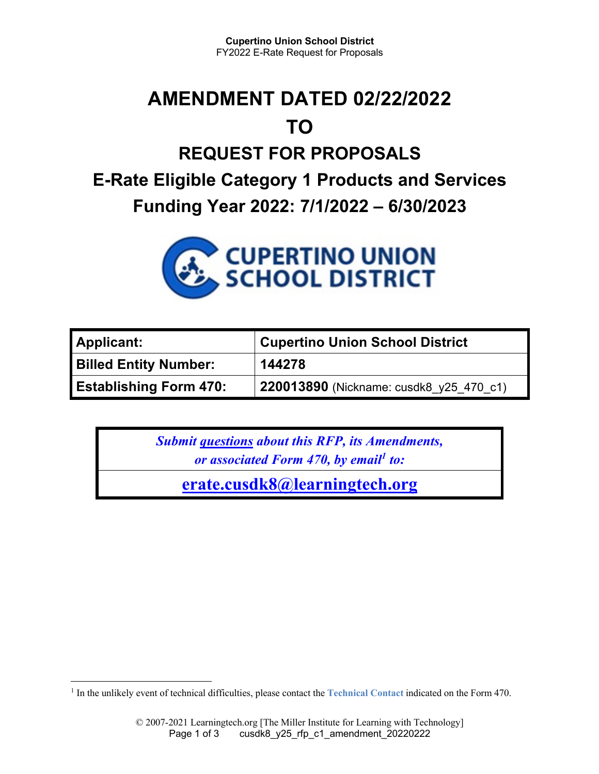## **AMENDMENT DATED 02/22/2022 TO**

# **REQUEST FOR PROPOSALS E-Rate Eligible Category 1 Products and Services**

**Funding Year 2022: 7/1/2022 – 6/30/2023**



| <b>Applicant:</b>             | <b>Cupertino Union School District</b>  |
|-------------------------------|-----------------------------------------|
| <b>Billed Entity Number:</b>  | 144278                                  |
| <b>Establishing Form 470:</b> | 220013890 (Nickname: cusdk8_y25_470_c1) |

*Submit questions about this RFP, its Amendments, or associated Form 470, by email<sup>1</sup> to:* 

**erate.cusdk8@learningtech.org**

<sup>&</sup>lt;sup>1</sup> In the unlikely event of technical difficulties, please contact the **Technical Contact** indicated on the Form 470.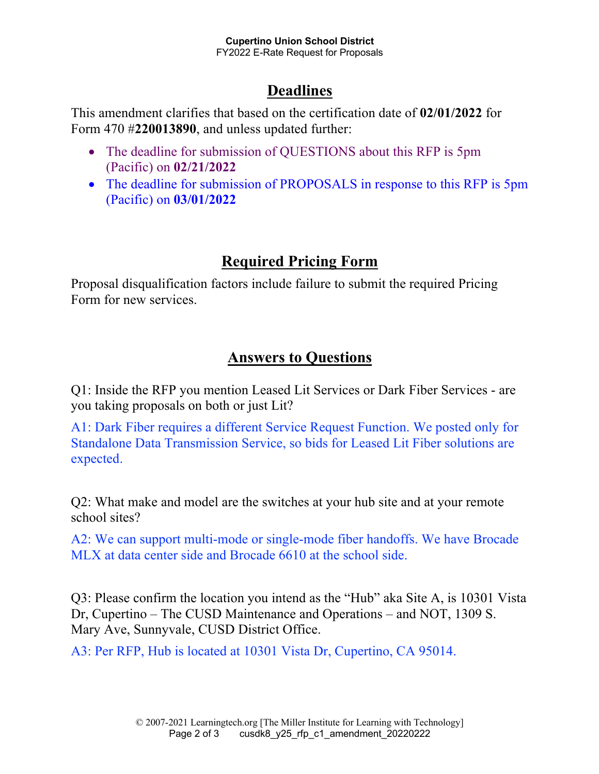### **Deadlines**

This amendment clarifies that based on the certification date of **02/01/2022** for Form 470 #**220013890**, and unless updated further:

- The deadline for submission of QUESTIONS about this RFP is 5pm (Pacific) on **02/21/2022**
- The deadline for submission of PROPOSALS in response to this RFP is 5pm (Pacific) on **03/01/2022**

#### **Required Pricing Form**

Proposal disqualification factors include failure to submit the required Pricing Form for new services.

#### **Answers to Questions**

Q1: Inside the RFP you mention Leased Lit Services or Dark Fiber Services - are you taking proposals on both or just Lit?

A1: Dark Fiber requires a different Service Request Function. We posted only for Standalone Data Transmission Service, so bids for Leased Lit Fiber solutions are expected.

Q2: What make and model are the switches at your hub site and at your remote school sites?

A2: We can support multi-mode or single-mode fiber handoffs. We have Brocade MLX at data center side and Brocade 6610 at the school side.

Q3: Please confirm the location you intend as the "Hub" aka Site A, is 10301 Vista Dr, Cupertino – The CUSD Maintenance and Operations – and NOT, 1309 S. Mary Ave, Sunnyvale, CUSD District Office.

A3: Per RFP, Hub is located at 10301 Vista Dr, Cupertino, CA 95014.